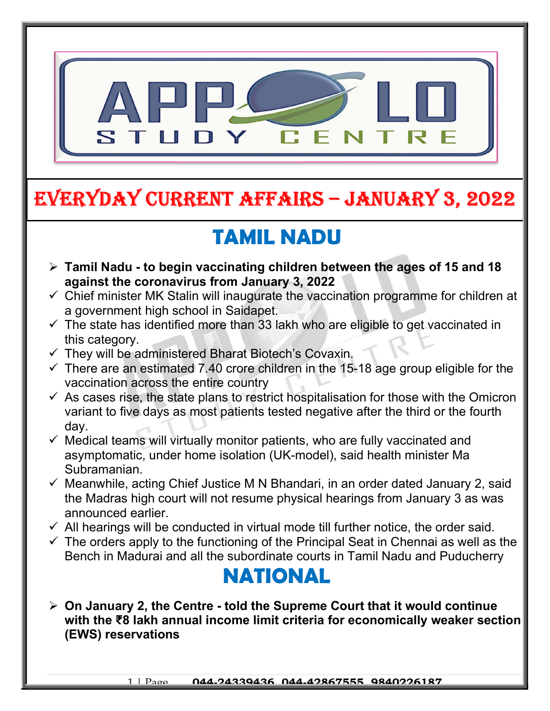

# EVERYDAY CURRENT AFFAIRS – JANUARY 3, 2022

## TAMIL NADU

- $\triangleright$  Tamil Nadu to begin vaccinating children between the ages of 15 and 18 against the coronavirus from January 3, 2022
- $\checkmark$  Chief minister MK Stalin will inaugurate the vaccination programme for children at a government high school in Saidapet.
- $\checkmark$  The state has identified more than 33 lakh who are eligible to get vaccinated in this category.
- $\checkmark$  They will be administered Bharat Biotech's Covaxin.

-

- $\checkmark$  There are an estimated 7.40 crore children in the 15-18 age group eligible for the vaccination across the entire country
- $\checkmark$  As cases rise, the state plans to restrict hospitalisation for those with the Omicron variant to five days as most patients tested negative after the third or the fourth day.
- $\checkmark$  Medical teams will virtually monitor patients, who are fully vaccinated and asymptomatic, under home isolation (UK-model), said health minister Ma Subramanian.
- $\checkmark$  Meanwhile, acting Chief Justice M N Bhandari, in an order dated January 2, said the Madras high court will not resume physical hearings from January 3 as was announced earlier.
- $\checkmark$  All hearings will be conducted in virtual mode till further notice, the order said.
- $\checkmark$  The orders apply to the functioning of the Principal Seat in Chennai as well as the Bench in Madurai and all the subordinate courts in Tamil Nadu and Puducherry

#### NATIONAL

 $\triangleright$  On January 2, the Centre - told the Supreme Court that it would continue with the ₹8 lakh annual income limit criteria for economically weaker section (EWS) reservations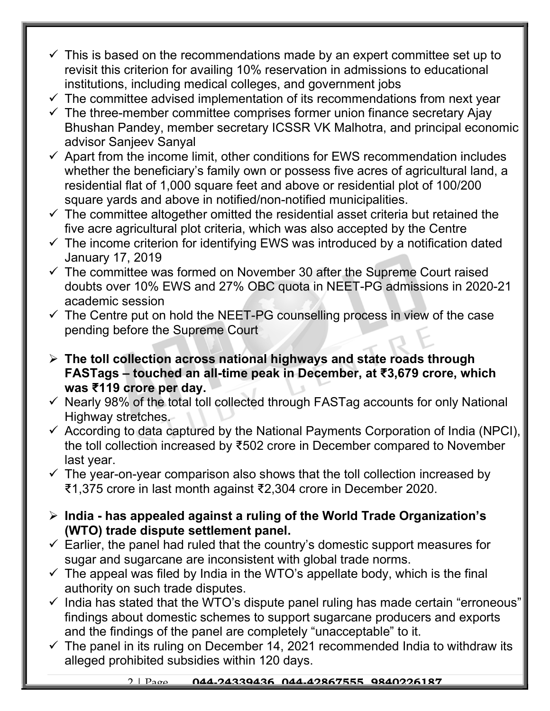- $\checkmark$  This is based on the recommendations made by an expert committee set up to revisit this criterion for availing 10% reservation in admissions to educational institutions, including medical colleges, and government jobs
- $\checkmark$  The committee advised implementation of its recommendations from next year
- $\checkmark$  The three-member committee comprises former union finance secretary Ajay Bhushan Pandey, member secretary ICSSR VK Malhotra, and principal economic advisor Sanjeev Sanyal
- $\checkmark$  Apart from the income limit, other conditions for EWS recommendation includes whether the beneficiary's family own or possess five acres of agricultural land, a residential flat of 1,000 square feet and above or residential plot of 100/200 square yards and above in notified/non-notified municipalities.
- $\checkmark$  The committee altogether omitted the residential asset criteria but retained the five acre agricultural plot criteria, which was also accepted by the Centre
- $\checkmark$  The income criterion for identifying EWS was introduced by a notification dated January 17, 2019
- $\checkmark$  The committee was formed on November 30 after the Supreme Court raised doubts over 10% EWS and 27% OBC quota in NEET-PG admissions in 2020-21 academic session
- $\checkmark$  The Centre put on hold the NEET-PG counselling process in view of the case pending before the Supreme Court
- $\triangleright$  The toll collection across national highways and state roads through FASTags – touched an all-time peak in December, at ₹3,679 crore, which was ₹119 crore per day.
- $\checkmark$  Nearly 98% of the total toll collected through FASTag accounts for only National Highway stretches.
- $\checkmark$  According to data captured by the National Payments Corporation of India (NPCI), the toll collection increased by ₹502 crore in December compared to November last year.
- $\checkmark$  The year-on-year comparison also shows that the toll collection increased by ₹1,375 crore in last month against ₹2,304 crore in December 2020.
- $\triangleright$  India has appealed against a ruling of the World Trade Organization's (WTO) trade dispute settlement panel.
- $\checkmark$  Earlier, the panel had ruled that the country's domestic support measures for sugar and sugarcane are inconsistent with global trade norms.
- $\checkmark$  The appeal was filed by India in the WTO's appellate body, which is the final authority on such trade disputes.
- $\checkmark$  India has stated that the WTO's dispute panel ruling has made certain "erroneous" findings about domestic schemes to support sugarcane producers and exports and the findings of the panel are completely "unacceptable" to it.
- $\checkmark$  The panel in its ruling on December 14, 2021 recommended India to withdraw its alleged prohibited subsidies within 120 days.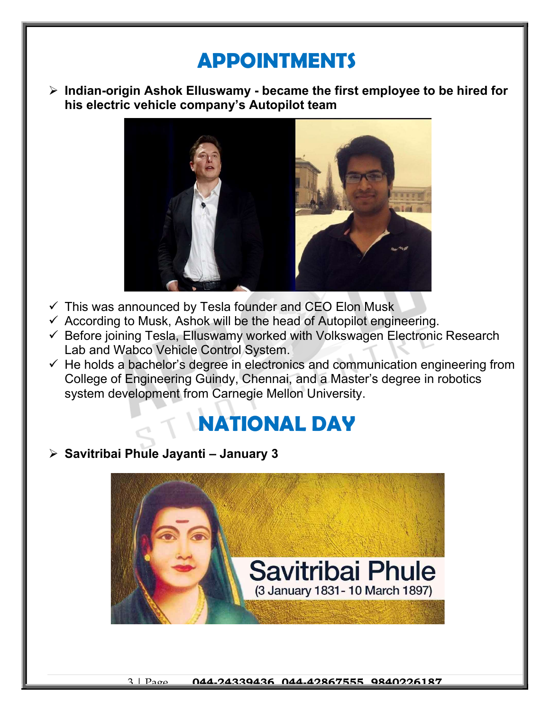## APPOINTMENTS

 $\triangleright$  Indian-origin Ashok Elluswamy - became the first employee to be hired for his electric vehicle company's Autopilot team



- $\checkmark$  This was announced by Tesla founder and CEO Elon Musk
- $\checkmark$  According to Musk, Ashok will be the head of Autopilot engineering.
- $\checkmark$  Before joining Tesla, Elluswamy worked with Volkswagen Electronic Research Lab and Wabco Vehicle Control System.
- $\checkmark$  He holds a bachelor's degree in electronics and communication engineering from College of Engineering Guindy, Chennai, and a Master's degree in robotics system development from Carnegie Mellon University.

### NATIONAL DAY

#### $\triangleright$  Savitribai Phule Jayanti – January 3